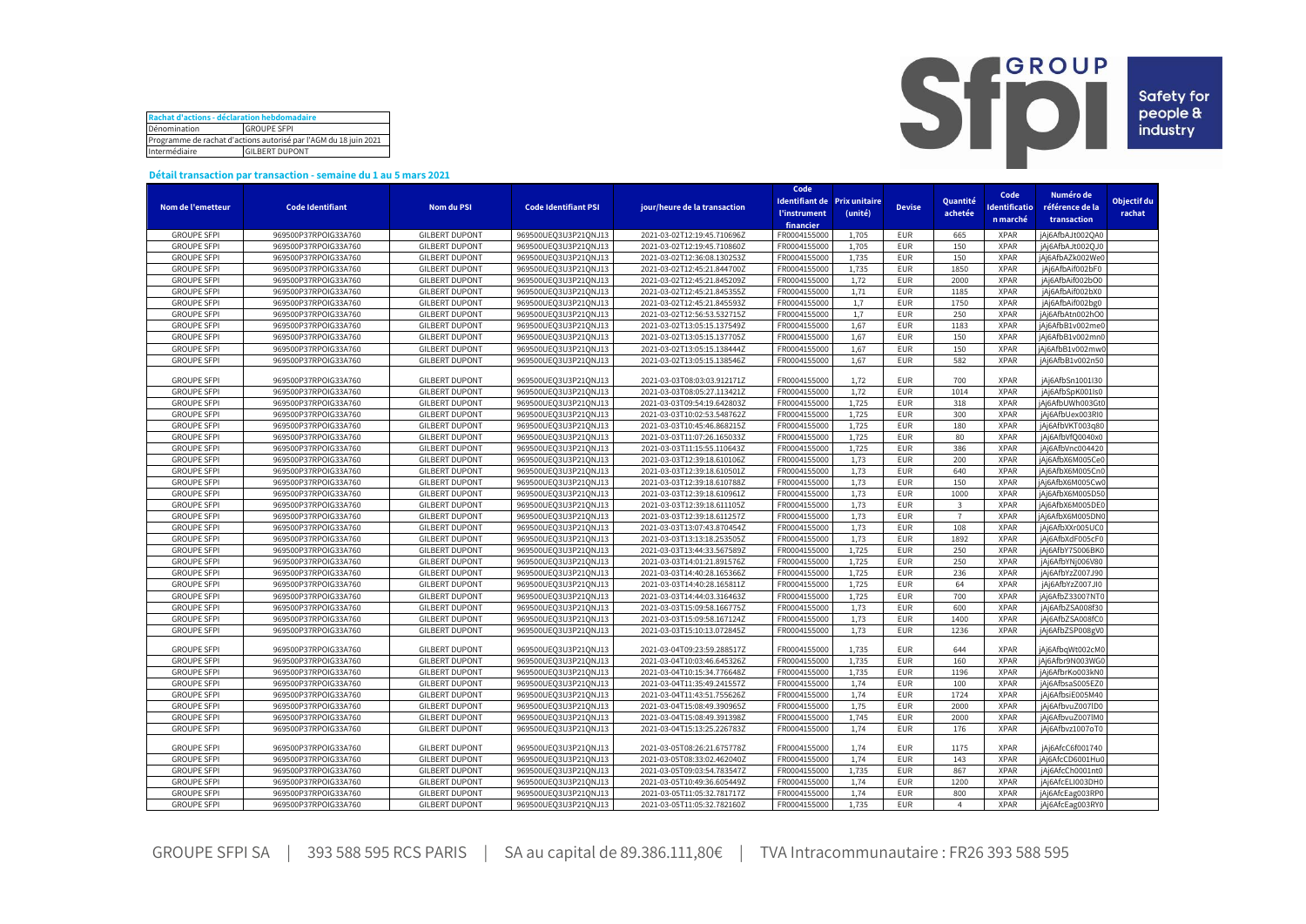| Rachat d'actions - déclaration hebdomadaire                      |  |  |  |  |  |  |  |
|------------------------------------------------------------------|--|--|--|--|--|--|--|
| Dénomination<br><b>GROUPE SFPI</b>                               |  |  |  |  |  |  |  |
| Programme de rachat d'actions autorisé par l'AGM du 18 juin 2021 |  |  |  |  |  |  |  |
| <b>GILBERT DUPONT</b><br>Intermédiaire                           |  |  |  |  |  |  |  |



## **Détail transaction par transaction - semaine du 1 au 5 mars 2021**

|                                          |                                              |                                                |                                              |                                                            | Code                              |                              |               |                | Code                 | Numéro de                            |             |
|------------------------------------------|----------------------------------------------|------------------------------------------------|----------------------------------------------|------------------------------------------------------------|-----------------------------------|------------------------------|---------------|----------------|----------------------|--------------------------------------|-------------|
| Nom de l'emetteur                        | <b>Code Identifiant</b>                      | <b>Nom du PSI</b>                              | <b>Code Identifiant PSI</b>                  | jour/heure de la transaction                               |                                   | Identifiant de Prix unitaire | <b>Devise</b> | Quantité       | <b>Identificatio</b> | référence de la                      | Objectif du |
|                                          |                                              |                                                |                                              |                                                            | <b><i><u>l'instrument</u></i></b> | (unité)                      |               | achetée        | n marché             | transaction                          | rachat      |
|                                          |                                              |                                                |                                              |                                                            | financier                         |                              | <b>EUR</b>    |                | <b>XPAR</b>          | jAj6AfbAJt002QA0                     |             |
| <b>GROUPE SFPI</b><br><b>GROUPE SFPI</b> | 969500P37RPOIG33A760<br>969500P37RPOIG33A760 | <b>GILBERT DUPONT</b><br><b>GILBERT DUPONT</b> | 969500UEQ3U3P21QNJ13<br>969500UEQ3U3P21QNJ13 | 2021-03-02T12:19:45.710696Z<br>2021-03-02T12:19:45.710860Z | FR0004155000<br>FR000415500       | 1,705<br>1,705               | <b>EUR</b>    | 665<br>150     | <b>XPAR</b>          | jAj6AfbAJt002QJ0                     |             |
| <b>GROUPE SFPI</b>                       | 969500P37RPOIG33A760                         | <b>GILBERT DUPONT</b>                          | 969500UEQ3U3P21QNJ13                         | 2021-03-02T12:36:08.130253Z                                | FR0004155000                      | 1,735                        | <b>EUR</b>    | 150            | <b>XPAR</b>          | jAj6AfbAZk002We0                     |             |
| <b>GROUPE SFPI</b>                       | 969500P37RPOIG33A760                         | <b>GILBERT DUPONT</b>                          | 969500UEQ3U3P21QNJ13                         | 2021-03-02T12:45:21.844700Z                                | FR000415500                       | 1,735                        | <b>EUR</b>    | 1850           | <b>XPAR</b>          | jAj6AfbAif002bF0                     |             |
| <b>GROUPE SFPI</b>                       | 969500P37RPOIG33A760                         | <b>GILBERT DUPONT</b>                          | 969500UEQ3U3P21QNJ13                         | 2021-03-02T12:45:21.845209Z                                | FR000415500                       | 1,72                         | <b>EUR</b>    | 2000           | <b>XPAR</b>          | jAj6AfbAif002bO0                     |             |
| <b>GROUPE SFPI</b>                       | 969500P37RPOIG33A760                         | <b>GILBERT DUPONT</b>                          | 969500UEQ3U3P21QNJ13                         | 2021-03-02T12:45:21.845355Z                                | FR0004155000                      | 1,71                         | <b>EUR</b>    | 1185           | <b>XPAR</b>          | jAj6AfbAif002bX0                     |             |
|                                          |                                              |                                                |                                              |                                                            | FR0004155000                      |                              | <b>EUR</b>    | 1750           | <b>XPAR</b>          |                                      |             |
| <b>GROUPE SFPI</b><br><b>GROUPE SFPI</b> | 969500P37RPOIG33A760<br>969500P37RPOIG33A760 | <b>GILBERT DUPONT</b><br><b>GILBERT DUPONT</b> | 969500UEQ3U3P21QNJ13<br>969500UEQ3U3P21QNJ13 | 2021-03-02T12:45:21.845593Z<br>2021-03-02T12:56:53.532715Z | FR0004155000                      | 1,7<br>1,7                   | <b>EUR</b>    | 250            | <b>XPAR</b>          | jAj6AfbAif002bg0<br>jAj6AfbAtn002hO0 |             |
| <b>GROUPE SFPI</b>                       | 969500P37RPOIG33A760                         | <b>GILBERT DUPONT</b>                          |                                              |                                                            | FR0004155000                      | 1,67                         | <b>EUR</b>    | 1183           | <b>XPAR</b>          |                                      |             |
|                                          |                                              |                                                | 969500UEQ3U3P21QNJ13                         | 2021-03-02T13:05:15.137549Z                                |                                   |                              | <b>EUR</b>    |                |                      | jAj6AfbB1v002me0                     |             |
| <b>GROUPE SFPI</b>                       | 969500P37RPOIG33A760                         | <b>GILBERT DUPONT</b>                          | 969500UEQ3U3P21QNJ13                         | 2021-03-02T13:05:15.137705Z                                | FR0004155000                      | 1,67                         |               | 150            | <b>XPAR</b>          | jAj6AfbB1v002mn0                     |             |
| <b>GROUPE SFPI</b>                       | 969500P37RPOIG33A760                         | <b>GILBERT DUPONT</b>                          | 969500UEQ3U3P21QNJ13                         | 2021-03-02T13:05:15.138444Z                                | FR0004155000                      | 1,67                         | <b>EUR</b>    | 150            | <b>XPAR</b>          | jAj6AfbB1v002mw0                     |             |
| <b>GROUPE SFPI</b>                       | 969500P37RPOIG33A760                         | <b>GILBERT DUPONT</b>                          | 969500UEQ3U3P21QNJ13                         | 2021-03-02T13:05:15.138546Z                                | FR0004155000                      | 1,67                         | <b>EUR</b>    | 582            | <b>XPAR</b>          | jAj6AfbB1v002n50                     |             |
| <b>GROUPE SFPI</b>                       | 969500P37RPOIG33A760                         | <b>GILBERT DUPONT</b>                          | 969500UEQ3U3P21QNJ13                         | 2021-03-03T08:03:03.912171Z                                | FR0004155000                      | 1,72                         | <b>EUR</b>    | 700            | <b>XPAR</b>          | jAj6AfbSn1001I30                     |             |
| <b>GROUPE SFPI</b>                       | 969500P37RPOIG33A760                         | <b>GILBERT DUPONT</b>                          | 969500UEQ3U3P21QNJ13                         | 2021-03-03T08:05:27.113421Z                                | FR0004155000                      | 1,72                         | <b>EUR</b>    | 1014           | <b>XPAR</b>          | jAj6AfbSpK001Is0                     |             |
| <b>GROUPE SFPI</b>                       | 969500P37RPOIG33A760                         | <b>GILBERT DUPONT</b>                          | 969500UEQ3U3P21QNJ13                         | 2021-03-03T09:54:19.642803Z                                | FR000415500                       | 1,725                        | <b>EUR</b>    | 318            | <b>XPAR</b>          | jAj6AfbUWh003Gt0                     |             |
| <b>GROUPE SFPI</b>                       | 969500P37RPOIG33A760                         | <b>GILBERT DUPONT</b>                          | 969500UEQ3U3P21QNJ13                         | 2021-03-03T10:02:53.548762Z                                | FR0004155000                      | 1,725                        | <b>EUR</b>    | 300            | <b>XPAR</b>          | jAj6AfbUex003RI0                     |             |
| <b>GROUPE SFPI</b>                       | 969500P37RPOIG33A760                         | <b>GILBERT DUPONT</b>                          | 969500UEQ3U3P21QNJ13                         | 2021-03-03T10:45:46.868215Z                                | FR000415500                       | 1,725                        | <b>EUR</b>    | 180            | <b>XPAR</b>          | jAj6AfbVKT003q80                     |             |
| <b>GROUPE SFPI</b>                       | 969500P37RPOIG33A760                         | <b>GILBERT DUPONT</b>                          | 969500UEQ3U3P21QNJ13                         | 2021-03-03T11:07:26.165033Z                                | FR000415500                       | 1,725                        | <b>EUR</b>    | 80             | <b>XPAR</b>          | jAj6AfbVfQ0040x0                     |             |
| <b>GROUPE SFPI</b>                       | 969500P37RPOIG33A760                         | <b>GILBERT DUPONT</b>                          | 969500UEQ3U3P21QNJ13                         | 2021-03-03T11:15:55.110643Z                                | FR0004155000                      | 1,725                        | <b>EUR</b>    | 386            | <b>XPAR</b>          | jAj6AfbVnc004420                     |             |
| <b>GROUPE SFPI</b>                       | 969500P37RPOIG33A760                         | <b>GILBERT DUPONT</b>                          | 969500UEQ3U3P21QNJ13                         | 2021-03-03T12:39:18.610106Z                                | FR000415500                       | 1,73                         | <b>EUR</b>    | 200            | <b>XPAR</b>          | iAi6AfbX6M005Ce0                     |             |
| <b>GROUPE SFPI</b>                       | 969500P37RPOIG33A760                         | <b>GILBERT DUPONT</b>                          | 969500UEQ3U3P21QNJ13                         | 2021-03-03T12:39:18.610501Z                                | FR0004155000                      | 1,73                         | <b>EUR</b>    | 640            | <b>XPAR</b>          | jAj6AfbX6M005Cn0                     |             |
| <b>GROUPE SFPI</b>                       | 969500P37RPOIG33A760                         | <b>GILBERT DUPONT</b>                          | 969500UEQ3U3P21QNJ13                         | 2021-03-03T12:39:18.610788Z                                | FR000415500                       | 1,73                         | <b>EUR</b>    | 150            | <b>XPAR</b>          | jAj6AfbX6M005Cw0                     |             |
| <b>GROUPE SFPI</b>                       | 969500P37RPOIG33A760                         | <b>GILBERT DUPONT</b>                          | 969500UEQ3U3P21QNJ13                         | 2021-03-03T12:39:18.610961Z                                | FR0004155000                      | 1,73                         | <b>EUR</b>    | 1000           | <b>XPAR</b>          | jAj6AfbX6M005D50                     |             |
| <b>GROUPE SFPI</b>                       | 969500P37RPOIG33A760                         | <b>GILBERT DUPONT</b>                          | 969500UEQ3U3P21QNJ13                         | 2021-03-03T12:39:18.611105Z                                | FR0004155000                      | 1,73                         | <b>EUR</b>    | $\overline{3}$ | <b>XPAR</b>          | jAj6AfbX6M005DE0                     |             |
| <b>GROUPE SFPI</b>                       | 969500P37RPOIG33A760                         | <b>GILBERT DUPONT</b>                          | 969500UEQ3U3P21QNJ13                         | 2021-03-03T12:39:18.611257Z                                | FR0004155000                      | 1,73                         | <b>EUR</b>    | $\overline{7}$ | <b>XPAR</b>          | jAj6AfbX6M005DN0                     |             |
| <b>GROUPE SFPI</b>                       | 969500P37RPOIG33A760                         | <b>GILBERT DUPONT</b>                          | 969500UEQ3U3P21QNJ13                         | 2021-03-03T13:07:43.870454Z                                | FR0004155000                      | 1,73                         | <b>EUR</b>    | 108            | <b>XPAR</b>          | jAj6AfbXXr005UC0                     |             |
| <b>GROUPE SFPI</b>                       | 969500P37RPOIG33A760                         | <b>GILBERT DUPONT</b>                          | 969500UEQ3U3P21QNJ13                         | 2021-03-03T13:13:18.253505Z                                | FR0004155000                      | 1,73                         | <b>EUR</b>    | 1892           | <b>XPAR</b>          | jAj6AfbXdF005cF0                     |             |
| <b>GROUPE SFPI</b>                       | 969500P37RPOIG33A760                         | <b>GILBERT DUPONT</b>                          | 969500UEQ3U3P21QNJ13                         | 2021-03-03T13:44:33.567589Z                                | FR000415500                       | 1,725                        | <b>EUR</b>    | 250            | <b>XPAR</b>          | jAj6AfbY7S006BK0                     |             |
| <b>GROUPE SFPI</b>                       | 969500P37RPOIG33A760                         | <b>GILBERT DUPONT</b>                          | 969500UEQ3U3P21QNJ13                         | 2021-03-03T14:01:21.891576Z                                | FR000415500                       | 1,725                        | <b>EUR</b>    | 250            | <b>XPAR</b>          | jAj6AfbYNj006V80                     |             |
| <b>GROUPE SFPI</b>                       | 969500P37RPOIG33A760                         | <b>GILBERT DUPONT</b>                          | 969500UEQ3U3P21QNJ13                         | 2021-03-03T14:40:28.165366Z                                | FR0004155000                      | 1,725                        | <b>EUR</b>    | 236            | <b>XPAR</b>          | jAj6AfbYzZ007J90                     |             |
| <b>GROUPE SFPI</b>                       | 969500P37RPOIG33A760                         | <b>GILBERT DUPONT</b>                          | 969500UEQ3U3P21QNJ13                         | 2021-03-03T14:40:28.165811Z                                | FR000415500                       | 1,725                        | <b>EUR</b>    | 64             | <b>XPAR</b>          | jAj6AfbYzZ007JI0                     |             |
| <b>GROUPE SFPI</b>                       | 969500P37RPOIG33A760                         | <b>GILBERT DUPONT</b>                          | 969500UEQ3U3P21QNJ13                         | 2021-03-03T14:44:03.316463Z                                | FR0004155000                      | 1,725                        | <b>EUR</b>    | 700            | <b>XPAR</b>          | jAj6AfbZ33007NT0                     |             |
| <b>GROUPE SFPI</b>                       | 969500P37RPOIG33A760                         | <b>GILBERT DUPONT</b>                          | 969500UEQ3U3P21QNJ13                         | 2021-03-03T15:09:58.166775Z                                | FR000415500                       | 1,73                         | <b>EUR</b>    | 600            | <b>XPAR</b>          | jAj6AfbZSA008f30                     |             |
| <b>GROUPE SFPI</b>                       | 969500P37RPOIG33A760                         | <b>GILBERT DUPONT</b>                          | 969500UEQ3U3P21QNJ13                         | 2021-03-03T15:09:58.167124Z                                | FR0004155000                      | 1,73                         | <b>EUR</b>    | 1400           | <b>XPAR</b>          | jAj6AfbZSA008fC0                     |             |
| <b>GROUPE SFPI</b>                       | 969500P37RPOIG33A760                         | <b>GILBERT DUPONT</b>                          | 969500UEQ3U3P21QNJ13                         | 2021-03-03T15:10:13.072845Z                                | FR0004155000                      | 1,73                         | <b>EUR</b>    | 1236           | <b>XPAR</b>          | jAj6AfbZSP008gV0                     |             |
|                                          |                                              |                                                |                                              |                                                            |                                   |                              |               |                |                      |                                      |             |
| <b>GROUPE SFPI</b>                       | 969500P37RPOIG33A760                         | <b>GILBERT DUPONT</b>                          | 969500UEQ3U3P21QNJ13                         | 2021-03-04T09:23:59.288517Z                                | FR0004155000                      | 1,735                        | <b>EUR</b>    | 644            | <b>XPAR</b>          | jAj6AfbqWt002cM0                     |             |
| <b>GROUPE SFPI</b>                       | 969500P37RPOIG33A760                         | <b>GILBERT DUPONT</b>                          | 969500UEQ3U3P21QNJ13                         | 2021-03-04T10:03:46.645326Z                                | FR0004155000                      | 1,735                        | <b>EUR</b>    | 160            | <b>XPAR</b>          | jAj6Afbr9N003WG0                     |             |
| <b>GROUPE SFPI</b>                       | 969500P37RPOIG33A760                         | <b>GILBERT DUPONT</b>                          | 969500UEQ3U3P21QNJ13                         | 2021-03-04T10:15:34.776648Z                                | FR000415500                       | 1,735                        | <b>EUR</b>    | 1196           | <b>XPAR</b>          | jAj6AfbrKo003kN0                     |             |
| <b>GROUPE SFPI</b>                       | 969500P37RPOIG33A760                         | <b>GILBERT DUPONT</b>                          | 969500UEQ3U3P21QNJ13                         | 2021-03-04T11:35:49.241557Z                                | FR0004155000                      | 1,74                         | <b>EUR</b>    | 100            | <b>XPAR</b>          | jAj6AfbsaS005EZ0                     |             |
| <b>GROUPE SFPI</b>                       | 969500P37RPOIG33A760                         | <b>GILBERT DUPONT</b>                          | 969500UEQ3U3P21QNJ13                         | 2021-03-04T11:43:51.755626Z                                | FR000415500                       | 1,74                         | <b>EUR</b>    | 1724           | <b>XPAR</b>          | jAj6AfbsiE005M40                     |             |
| <b>GROUPE SFPI</b>                       | 969500P37RPOIG33A760                         | <b>GILBERT DUPONT</b>                          | 969500UEQ3U3P21QNJ13                         | 2021-03-04T15:08:49.390965Z                                | FR0004155000                      | 1,75                         | <b>EUR</b>    | 2000           | <b>XPAR</b>          | jAj6AfbvuZ007lD0                     |             |
| <b>GROUPE SFPI</b>                       | 969500P37RPOIG33A760                         | <b>GILBERT DUPONT</b>                          | 969500UEQ3U3P21QNJ13                         | 2021-03-04T15:08:49.391398Z                                | FR0004155000                      | 1.745                        | <b>EUR</b>    | 2000           | <b>XPAR</b>          | iAi6AfbvuZ007lM0                     |             |
| <b>GROUPE SFPI</b>                       | 969500P37RPOIG33A760                         | <b>GILBERT DUPONT</b>                          | 969500UEQ3U3P21QNJ13                         | 2021-03-04T15:13:25.226783Z                                | FR0004155000                      | 1.74                         | <b>EUR</b>    | 176            | <b>XPAR</b>          | jAj6Afbvz1007oT0                     |             |
|                                          |                                              |                                                |                                              |                                                            |                                   |                              |               |                |                      |                                      |             |
| <b>GROUPE SFPI</b>                       | 969500P37RPOIG33A760                         | <b>GILBERT DUPONT</b>                          | 969500UEQ3U3P21QNJ13                         | 2021-03-05T08:26:21.675778Z                                | FR0004155000                      | 1,74                         | <b>EUR</b>    | 1175           | <b>XPAR</b>          | jAj6AfcC6f001740                     |             |
| <b>GROUPE SFPI</b>                       | 969500P37RPOIG33A760                         | <b>GILBERT DUPONT</b>                          | 969500UEQ3U3P21QNJ13                         | 2021-03-05T08:33:02.462040Z                                | FR0004155000                      | 1,74                         | <b>EUR</b>    | 143            | <b>XPAR</b>          | jAj6AfcCD6001Hu0                     |             |
| <b>GROUPE SFPI</b>                       | 969500P37RPOIG33A760                         | <b>GILBERT DUPONT</b>                          | 969500UEQ3U3P21QNJ13                         | 2021-03-05T09:03:54.783547Z                                | FR0004155000                      | 1,735                        | <b>EUR</b>    | 867            | <b>XPAR</b>          | jAj6AfcCh0001nt0                     |             |
| <b>GROUPE SFPI</b>                       | 969500P37RPOIG33A760                         | <b>GILBERT DUPONT</b>                          | 969500UEQ3U3P21QNJ13                         | 2021-03-05T10:49:36.605449Z                                | FR0004155000                      | 1,74                         | <b>EUR</b>    | 1200           | <b>XPAR</b>          | jAj6AfcELI003DH0                     |             |
| <b>GROUPE SFPI</b>                       | 969500P37RPOIG33A760                         | <b>GILBERT DUPONT</b>                          | 969500UEQ3U3P21QNJ13                         | 2021-03-05T11:05:32.781717Z                                | FR0004155000                      | 1.74                         | <b>EUR</b>    | 800            | <b>XPAR</b>          | jAj6AfcEag003RP0                     |             |
| <b>GROUPE SFPI</b>                       | 969500P37RPOIG33A760                         | <b>GILBERT DUPONT</b>                          | 969500UEQ3U3P21QNJ13                         | 2021-03-05T11:05:32.782160Z                                | FR0004155000                      | 1.735                        | <b>EUR</b>    | $\overline{4}$ | <b>XPAR</b>          | jAj6AfcEag003RY0                     |             |